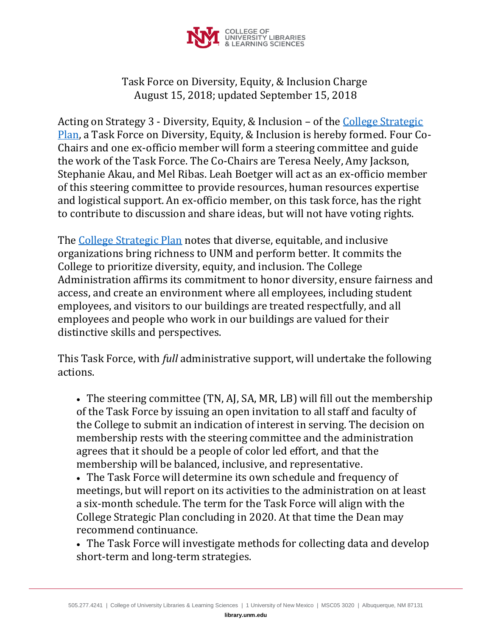

## Task Force on Diversity, Equity, & Inclusion Charge August 15, 2018; updated September 15, 2018

Acting on Strategy 3 - Diversity, Equity, & Inclusion – of the College Strategic [Plan,](https://library.unm.edu/about/docs/2018-strategic-plan.pdf) a Task Force on Diversity, Equity, & Inclusion is hereby formed. Four Co-Chairs and one ex-officio member will form a steering committee and guide the work of the Task Force. The Co-Chairs are Teresa Neely, Amy Jackson, Stephanie Akau, and Mel Ribas. Leah Boetger will act as an ex-officio member of this steering committee to provide resources, human resources expertise and logistical support. An ex-officio member, on this task force, has the right to contribute to discussion and share ideas, but will not have voting rights.

The [College Strategic Plan](https://library.unm.edu/about/docs/2018-strategic-plan.pdf) notes that diverse, equitable, and inclusive organizations bring richness to UNM and perform better. It commits the College to prioritize diversity, equity, and inclusion. The College Administration affirms its commitment to honor diversity, ensure fairness and access, and create an environment where all employees, including student employees, and visitors to our buildings are treated respectfully, and all employees and people who work in our buildings are valued for their distinctive skills and perspectives.

This Task Force, with *full* administrative support, will undertake the following actions.

• The steering committee (TN, AJ, SA, MR, LB) will fill out the membership of the Task Force by issuing an open invitation to all staff and faculty of the College to submit an indication of interest in serving. The decision on membership rests with the steering committee and the administration agrees that it should be a people of color led effort, and that the membership will be balanced, inclusive, and representative.

• The Task Force will determine its own schedule and frequency of meetings, but will report on its activities to the administration on at least a six-month schedule. The term for the Task Force will align with the College Strategic Plan concluding in 2020. At that time the Dean may recommend continuance.

• The Task Force will investigate methods for collecting data and develop short-term and long-term strategies.